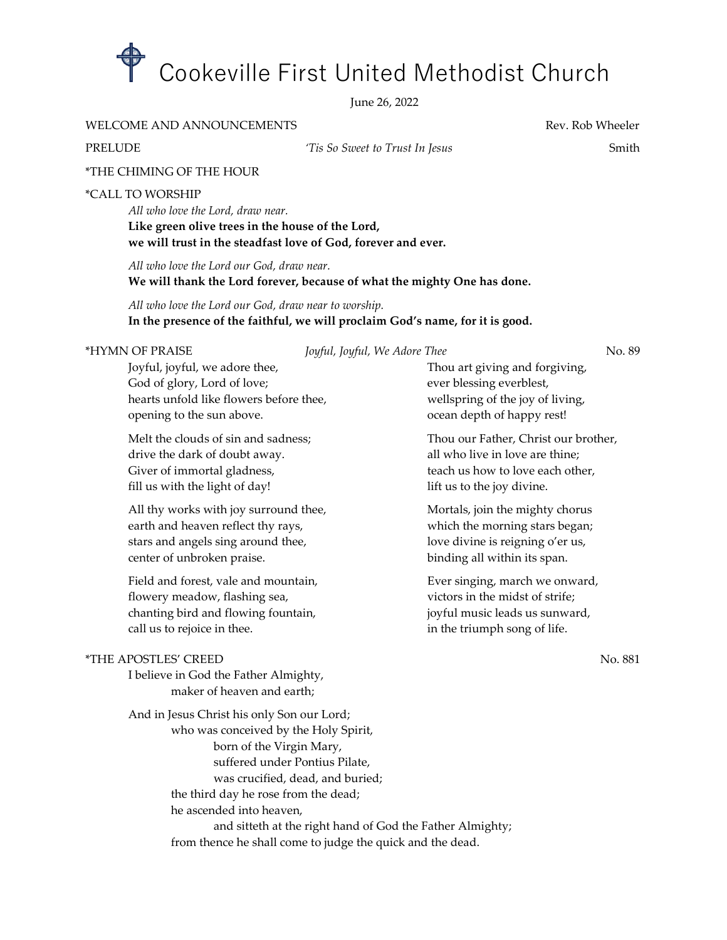Cookeville First United Methodist Church

June 26, 2022

## WELCOME AND ANNOUNCEMENTS THE REV. Rob Wheeler

PRELUDE *'Tis So Sweet to Trust In Jesus* Smith

### \*THE CHIMING OF THE HOUR

### \*CALL TO WORSHIP

*All who love the Lord, draw near.* **Like green olive trees in the house of the Lord, we will trust in the steadfast love of God, forever and ever.**

*All who love the Lord our God, draw near.*

**We will thank the Lord forever, because of what the mighty One has done.**

*All who love the Lord our God, draw near to worship.* **In the presence of the faithful, we will proclaim God's name, for it is good.**

### \*HYMN OF PRAISE *Joyful, Joyful, We Adore Thee* No. 89

Joyful, joyful, we adore thee, God of glory, Lord of love; hearts unfold like flowers before thee, opening to the sun above.

Melt the clouds of sin and sadness; drive the dark of doubt away. Giver of immortal gladness, fill us with the light of day!

All thy works with joy surround thee, earth and heaven reflect thy rays, stars and angels sing around thee, center of unbroken praise.

Field and forest, vale and mountain, flowery meadow, flashing sea, chanting bird and flowing fountain, call us to rejoice in thee.

### \*THE APOSTLES' CREEDNo. 881

I believe in God the Father Almighty, maker of heaven and earth;

And in Jesus Christ his only Son our Lord; who was conceived by the Holy Spirit, born of the Virgin Mary, suffered under Pontius Pilate, was crucified, dead, and buried; the third day he rose from the dead; he ascended into heaven, and sitteth at the right hand of God the Father Almighty;

from thence he shall come to judge the quick and the dead.

Thou art giving and forgiving, ever blessing everblest, wellspring of the joy of living, ocean depth of happy rest!

Thou our Father, Christ our brother, all who live in love are thine; teach us how to love each other, lift us to the joy divine.

Mortals, join the mighty chorus which the morning stars began; love divine is reigning o'er us, binding all within its span.

Ever singing, march we onward, victors in the midst of strife; joyful music leads us sunward, in the triumph song of life.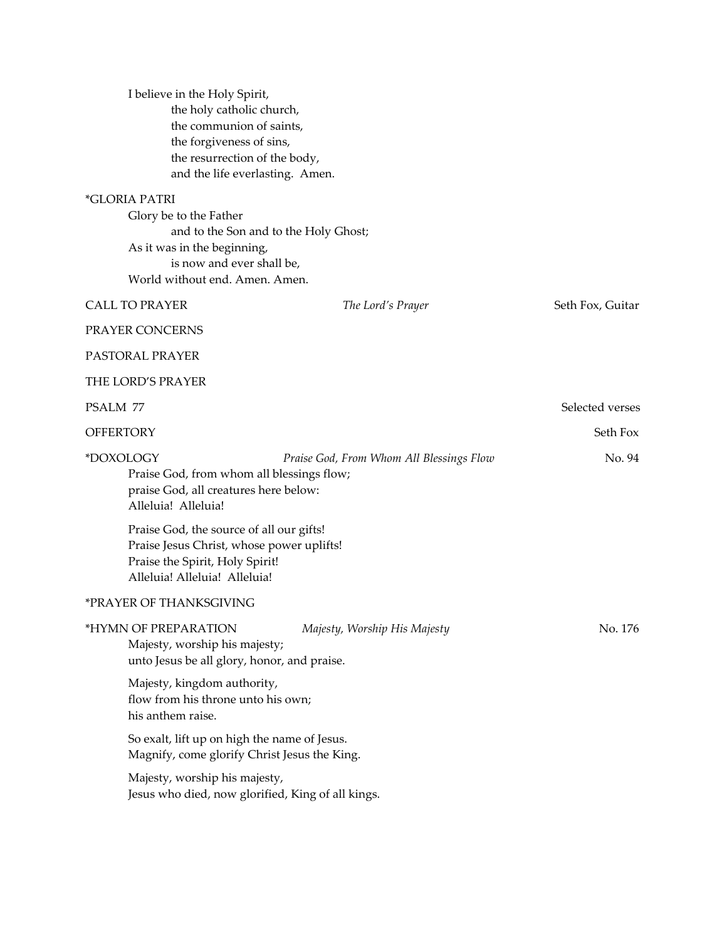| I believe in the Holy Spirit,<br>the holy catholic church,<br>the communion of saints,<br>the forgiveness of sins,<br>the resurrection of the body,<br>and the life everlasting. Amen.       |                              |                  |
|----------------------------------------------------------------------------------------------------------------------------------------------------------------------------------------------|------------------------------|------------------|
| <i><b>*GLORIA PATRI</b></i><br>Glory be to the Father<br>and to the Son and to the Holy Ghost;<br>As it was in the beginning,<br>is now and ever shall be,<br>World without end. Amen. Amen. |                              |                  |
| <b>CALL TO PRAYER</b>                                                                                                                                                                        | The Lord's Prayer            | Seth Fox, Guitar |
| PRAYER CONCERNS                                                                                                                                                                              |                              |                  |
| PASTORAL PRAYER                                                                                                                                                                              |                              |                  |
| THE LORD'S PRAYER                                                                                                                                                                            |                              |                  |
| PSALM 77                                                                                                                                                                                     |                              | Selected verses  |
| <b>OFFERTORY</b>                                                                                                                                                                             |                              | Seth Fox         |
| *DOXOLOGY<br>Praise God, From Whom All Blessings Flow<br>Praise God, from whom all blessings flow;<br>praise God, all creatures here below:<br>Alleluia! Alleluia!                           |                              | No. 94           |
| Praise God, the source of all our gifts!<br>Praise Jesus Christ, whose power uplifts!<br>Praise the Spirit, Holy Spirit!<br>Alleluia! Alleluia! Alleluia!                                    |                              |                  |
| *PRAYER OF THANKSGIVING                                                                                                                                                                      |                              |                  |
| *HYMN OF PREPARATION<br>Majesty, worship his majesty;<br>unto Jesus be all glory, honor, and praise.                                                                                         | Majesty, Worship His Majesty | No. 176          |
| Majesty, kingdom authority,<br>flow from his throne unto his own;<br>his anthem raise.                                                                                                       |                              |                  |
| So exalt, lift up on high the name of Jesus.<br>Magnify, come glorify Christ Jesus the King.                                                                                                 |                              |                  |
| Majesty, worship his majesty,<br>Jesus who died, now glorified, King of all kings.                                                                                                           |                              |                  |
|                                                                                                                                                                                              |                              |                  |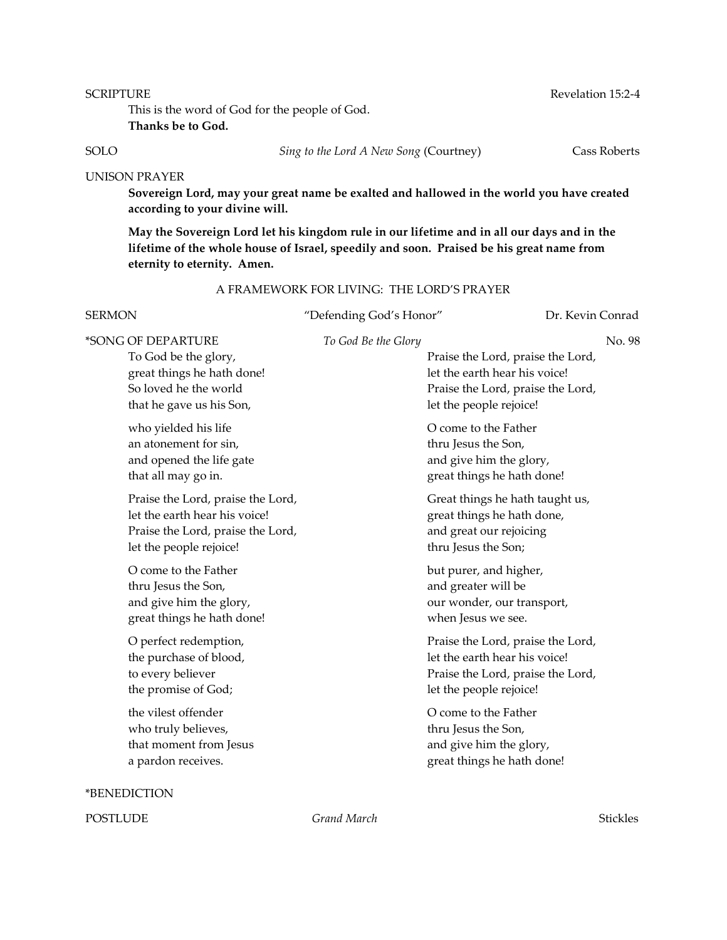This is the word of God for the people of God. **Thanks be to God.**

# UNISON PRAYER

**Sovereign Lord, may your great name be exalted and hallowed in the world you have created according to your divine will.**

**May the Sovereign Lord let his kingdom rule in our lifetime and in all our days and in the lifetime of the whole house of Israel, speedily and soon. Praised be his great name from eternity to eternity. Amen.**

## A FRAMEWORK FOR LIVING: THE LORD'S PRAYER

| <b>SERMON</b>                                                                                                                               | "Defending God's Honor" |                                                                                                                                    | Dr. Kevin Conrad |
|---------------------------------------------------------------------------------------------------------------------------------------------|-------------------------|------------------------------------------------------------------------------------------------------------------------------------|------------------|
| <i><b>*SONG OF DEPARTURE</b></i><br>To God be the glory,<br>great things he hath done!<br>So loved he the world<br>that he gave us his Son, | To God Be the Glory     | Praise the Lord, praise the Lord,<br>let the earth hear his voice!<br>Praise the Lord, praise the Lord,<br>let the people rejoice! | No. 98           |
| who yielded his life<br>an atonement for sin,<br>and opened the life gate<br>that all may go in.                                            |                         | O come to the Father<br>thru Jesus the Son,<br>and give him the glory,<br>great things he hath done!                               |                  |
| Praise the Lord, praise the Lord,<br>let the earth hear his voice!<br>Praise the Lord, praise the Lord,<br>let the people rejoice!          |                         | Great things he hath taught us,<br>great things he hath done,<br>and great our rejoicing<br>thru Jesus the Son;                    |                  |
| O come to the Father<br>thru Jesus the Son,<br>and give him the glory,<br>great things he hath done!                                        |                         | but purer, and higher,<br>and greater will be<br>our wonder, our transport,<br>when Jesus we see.                                  |                  |
| O perfect redemption,<br>the purchase of blood,<br>to every believer<br>the promise of God;                                                 |                         | Praise the Lord, praise the Lord,<br>let the earth hear his voice!<br>Praise the Lord, praise the Lord,<br>let the people rejoice! |                  |
| the vilest offender<br>who truly believes,<br>that moment from Jesus<br>a pardon receives.                                                  |                         | O come to the Father<br>thru Jesus the Son,<br>and give him the glory,<br>great things he hath done!                               |                  |

### \*BENEDICTION

POSTLUDE **Grand March** Grand March Stickles